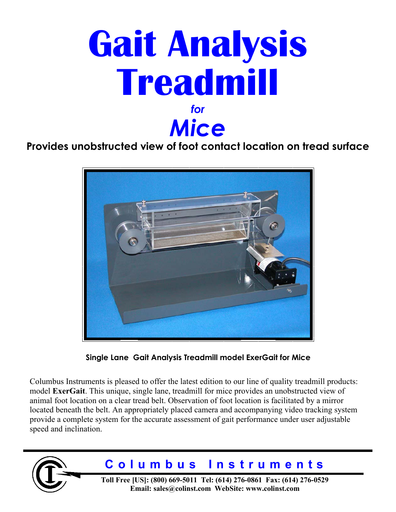

**Provides unobstructed view of foot contact location on tread surface** 



**Single Lane Gait Analysis Treadmill model ExerGait for Mice**

Columbus Instruments is pleased to offer the latest edition to our line of quality treadmill products: model **ExerGait**. This unique, single lane, treadmill for mice provides an unobstructed view of animal foot location on a clear tread belt. Observation of foot location is facilitated by a mirror located beneath the belt. An appropriately placed camera and accompanying video tracking system provide a complete system for the accurate assessment of gait performance under user adjustable speed and inclination.



# **Columbus Instruments**

**Toll Free [US]: (800) 669-5011 Tel: (614) 276-0861 Fax: (614) 276-0529 Email: sales@colinst.com WebSite: www.colinst.com**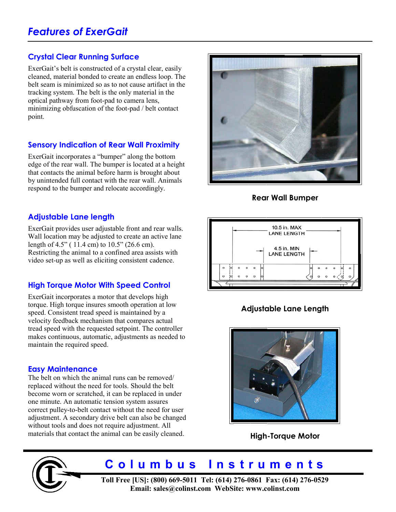### **Crystal Clear Running Surface**

ExerGait's belt is constructed of a crystal clear, easily cleaned, material bonded to create an endless loop. The belt seam is minimized so as to not cause artifact in the tracking system. The belt is the only material in the optical pathway from foot-pad to camera lens, minimizing obfuscation of the foot-pad / belt contact point.

### **Sensory Indication of Rear Wall Proximity**

ExerGait incorporates a "bumper" along the bottom edge of the rear wall. The bumper is located at a height that contacts the animal before harm is brought about by unintended full contact with the rear wall. Animals respond to the bumper and relocate accordingly.

### **Adjustable Lane length**

ExerGait provides user adjustable front and rear walls. Wall location may be adjusted to create an active lane length of 4.5" ( 11.4 cm) to 10.5" (26.6 cm). Restricting the animal to a confined area assists with video set-up as well as eliciting consistent cadence.

## **High Torque Motor With Speed Control**

ExerGait incorporates a motor that develops high torque. High torque insures smooth operation at low speed. Consistent tread speed is maintained by a velocity feedback mechanism that compares actual tread speed with the requested setpoint. The controller makes continuous, automatic, adjustments as needed to maintain the required speed.

### **Easy Maintenance**

The belt on which the animal runs can be removed/ replaced without the need for tools. Should the belt become worn or scratched, it can be replaced in under one minute. An automatic tension system assures correct pulley-to-belt contact without the need for user adjustment. A secondary drive belt can also be changed without tools and does not require adjustment. All materials that contact the animal can be easily cleaned.



**Rear Wall Bumper**



# **Adjustable Lane Length**



**High-Torque Motor**



# **Columbus Instruments**

**Toll Free [US]: (800) 669-5011 Tel: (614) 276-0861 Fax: (614) 276-0529 Email: sales@colinst.com WebSite: www.colinst.com**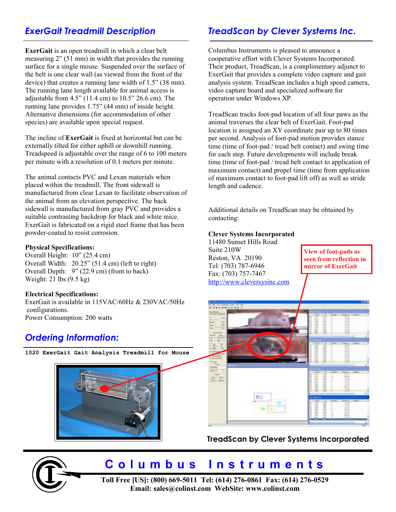**ExerGait** is an open treadmill in which a clear belt measuring 2" (51 mm) in width that provides the running surface for a single mouse. Suspended over the surface of the belt is one clear wall (as viewed from the front of the device) that creates a running lane width of 1.5" (38 mm). The running lane length available for animal access is adjustable from 4.5" (11.4 cm) to 10.5" 26.6 cm). The running lane provides 1.75" (44 mm) of inside height. Alternative dimensions (for accommodation of other species) are available upon special request.

The incline of **ExerGait** is fixed at horizontal but can be externally tilted for either uphill or downhill running. Treadspeed is adjustable over the range of 6 to 100 meters per minute with a resolution of 0.1 meters per minute.

The animal contacts PVC and Lexan materials when placed within the treadmill. The front sidewall is manufactured from clear Lexan to facilitate observation of the animal from an elevation perspective. The back sidewall is manufactured from gray PVC and provides a suitable contrasting backdrop for black and white mice. ExerGait is fabricated on a rigid steel frame that has been powder-coated to resist corrosion.

### **Physical Specifications:**

Overall Height: 10" (25.4 cm) Overall Width: 20.25" (51.4 cm) (left to right) Overall Depth: 9" (22.9 cm) (front to back) Weight: 21 lbs (9.5 kg)

### **Electrical Specifications:**

ExerGait is available in 115VAC/60Hz & 230VAC/50Hz configurations. Power Consumption: 200 watts

# *Ordering Information:*

**1020 ExerGait Gait Analysis Treadmill for Mouse** 



# *ExerGait Treadmill Description TreadScan by Clever Systems Inc.*

Columbus Instruments is pleased to announce a cooperative effort with Clever Systems Incorporated. Their product, TreadScan, is a complimentary adjunct to ExerGait that provides a complete video capture and gait analysis system. TreadScan includes a high speed camera, video capture board and specialized software for operation under Windows XP.

TreadScan tracks foot-pad location of all four paws as the animal traverses the clear belt of ExerGait. Foot-pad location is assigned an XY coordinate pair up to 80 times per second. Analysis of foot-pad motion provides stance time (time of foot-pad / tread belt contact) and swing time for each step. Future developments will include break time (time of foot-pad / tread belt contact to application of maximum contact) and propel time (time from application of maximum contact to foot-pad lift off) as well as stride length and cadence.

Additional details on TreadScan may be obtained by contacting:

#### **Clever Systems Incorporated**

11480 Sunset Hills Road Suite 210W Reston, VA 20190 Tel: (703) 787-6946 Fax: (703) 757-7467 http://www.cleversysinc.com

**View of foot-pads as seen from reflection in mirror of ExerGait** 



## **TreadScan by Clever Systems Incorporated**



# **Columbus Instruments**

**Toll Free [US]: (800) 669-5011 Tel: (614) 276-0861 Fax: (614) 276-0529 Email: sales@colinst.com WebSite: www.colinst.com**